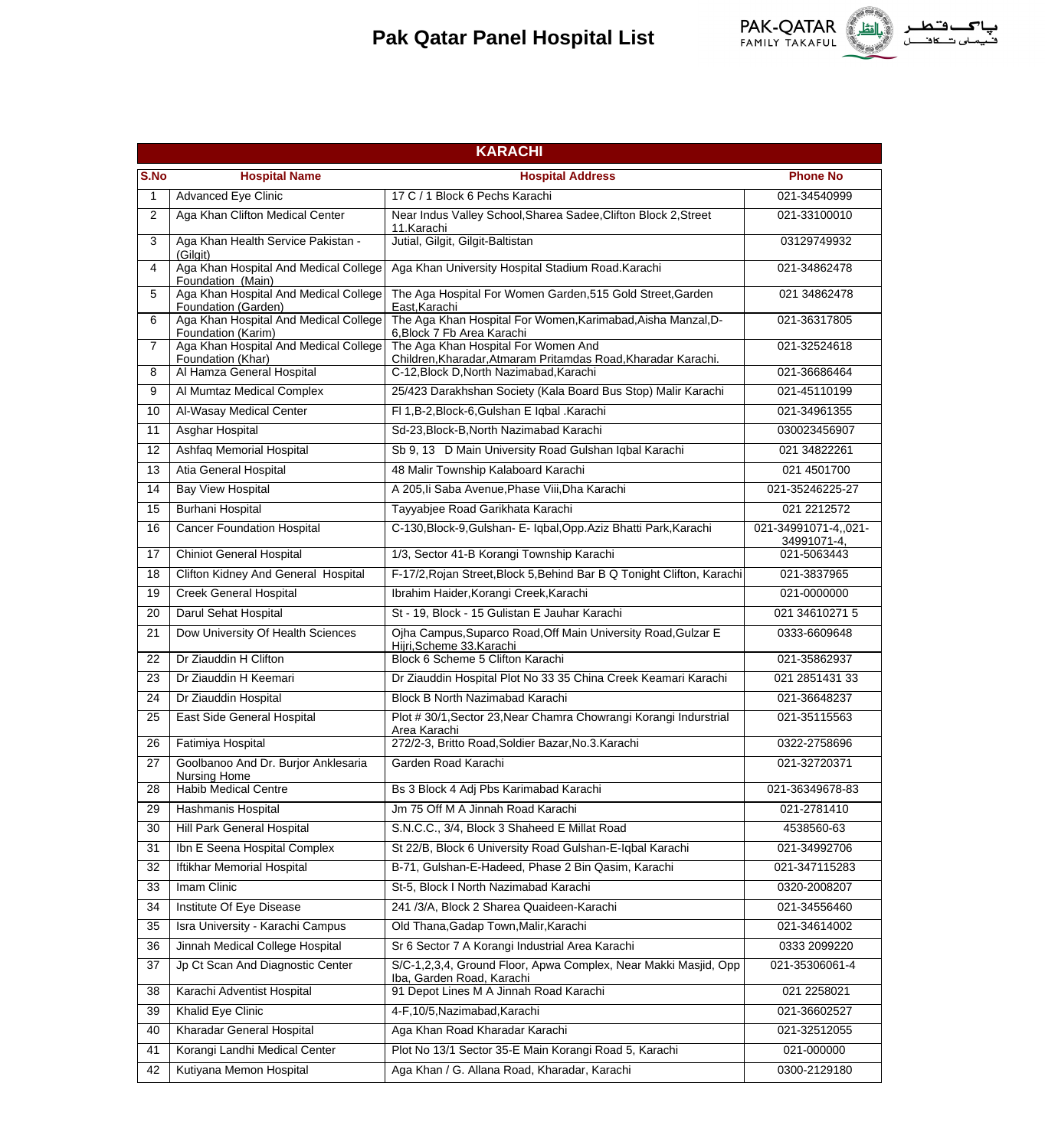

|              | <b>KARACHI</b>                                               |                                                                                                      |                                   |  |
|--------------|--------------------------------------------------------------|------------------------------------------------------------------------------------------------------|-----------------------------------|--|
| S.No         | <b>Hospital Name</b>                                         | <b>Hospital Address</b>                                                                              | <b>Phone No</b>                   |  |
| $\mathbf{1}$ | <b>Advanced Eye Clinic</b>                                   | 17 C / 1 Block 6 Pechs Karachi                                                                       | 021-34540999                      |  |
| 2            | Aga Khan Clifton Medical Center                              | Near Indus Valley School, Sharea Sadee, Clifton Block 2, Street<br>11.Karachi                        | 021-33100010                      |  |
| 3            | Aga Khan Health Service Pakistan -<br>(Gilgit)               | Jutial, Gilgit, Gilgit-Baltistan                                                                     | 03129749932                       |  |
| 4            | Aga Khan Hospital And Medical College<br>Foundation (Main)   | Aga Khan University Hospital Stadium Road.Karachi                                                    | 021-34862478                      |  |
| 5            | Aga Khan Hospital And Medical College<br>Foundation (Garden) | The Aga Hospital For Women Garden, 515 Gold Street, Garden<br>East.Karachi                           | 021 34862478                      |  |
| 6            | Aga Khan Hospital And Medical College<br>Foundation (Karim)  | The Aga Khan Hospital For Women, Karimabad, Aisha Manzal, D-<br>6, Block 7 Fb Area Karachi           | 021-36317805                      |  |
| 7            | Aga Khan Hospital And Medical College<br>Foundation (Khar)   | The Aga Khan Hospital For Women And<br>Children, Kharadar, Atmaram Pritamdas Road, Kharadar Karachi. | 021-32524618                      |  |
| 8            | Al Hamza General Hospital                                    | C-12, Block D, North Nazimabad, Karachi                                                              | 021-36686464                      |  |
| 9            | Al Mumtaz Medical Complex                                    | 25/423 Darakhshan Society (Kala Board Bus Stop) Malir Karachi                                        | 021-45110199                      |  |
| 10           | Al-Wasay Medical Center                                      | FI 1, B-2, Block-6, Gulshan E Iqbal . Karachi                                                        | 021-34961355                      |  |
| 11           | <b>Asghar Hospital</b>                                       | Sd-23. Block-B. North Nazimabad Karachi                                                              | 030023456907                      |  |
| 12           | Ashfaq Memorial Hospital                                     | Sb 9, 13 D Main University Road Gulshan Iqbal Karachi                                                | 021 34822261                      |  |
| 13           | Atia General Hospital                                        | 48 Malir Township Kalaboard Karachi                                                                  | 021 4501700                       |  |
| 14           | <b>Bay View Hospital</b>                                     | A 205, li Saba Avenue, Phase Viii, Dha Karachi                                                       | 021-35246225-27                   |  |
| 15           | <b>Burhani Hospital</b>                                      | Tayyabjee Road Garikhata Karachi                                                                     | 021 221 2572                      |  |
| 16           | <b>Cancer Foundation Hospital</b>                            | C-130, Block-9, Gulshan- E- Iqbal, Opp. Aziz Bhatti Park, Karachi                                    | 021-34991071-4021-<br>34991071-4, |  |
| 17           | <b>Chiniot General Hospital</b>                              | 1/3, Sector 41-B Korangi Township Karachi                                                            | 021-5063443                       |  |
| 18           | Clifton Kidney And General Hospital                          | F-17/2, Rojan Street, Block 5, Behind Bar B Q Tonight Clifton, Karachi                               | 021-3837965                       |  |
| 19           | Creek General Hospital                                       | Ibrahim Haider, Korangi Creek, Karachi                                                               | 021-0000000                       |  |
| 20           | Darul Sehat Hospital                                         | St - 19, Block - 15 Gulistan E Jauhar Karachi                                                        | 021 34610271 5                    |  |
| 21           | Dow University Of Health Sciences                            | Ojha Campus, Suparco Road, Off Main University Road, Gulzar E<br>Hijri, Scheme 33. Karachi           | 0333-6609648                      |  |
| 22           | Dr Ziauddin H Clifton                                        | Block 6 Scheme 5 Clifton Karachi                                                                     | 021-35862937                      |  |
| 23           | Dr Ziauddin H Keemari                                        | Dr Ziauddin Hospital Plot No 33 35 China Creek Keamari Karachi                                       | 021 2851431 33                    |  |
| 24           | Dr Ziauddin Hospital                                         | Block B North Nazimabad Karachi                                                                      | 021-36648237                      |  |
| 25           | East Side General Hospital                                   | Plot #30/1, Sector 23, Near Chamra Chowrangi Korangi Indurstrial<br>Area Karachi                     | 021-35115563                      |  |
| 26           | Fatimiya Hospital                                            | 272/2-3, Britto Road, Soldier Bazar, No.3. Karachi                                                   | 0322-2758696                      |  |
| 27           | Goolbanoo And Dr. Burjor Anklesaria<br><b>Nursing Home</b>   | Garden Road Karachi                                                                                  | 021-32720371                      |  |
| 28           | <b>Habib Medical Centre</b>                                  | Bs 3 Block 4 Adj Pbs Karimabad Karachi                                                               | 021-36349678-83                   |  |
| 29           | Hashmanis Hospital                                           | Jm 75 Off M A Jinnah Road Karachi                                                                    | 021-2781410                       |  |
| 30           | Hill Park General Hospital                                   | S.N.C.C., 3/4, Block 3 Shaheed E Millat Road                                                         | 4538560-63                        |  |
| 31           | Ibn E Seena Hospital Complex                                 | St 22/B, Block 6 University Road Gulshan-E-Iqbal Karachi                                             | 021-34992706                      |  |
| 32           | Iftikhar Memorial Hospital                                   | B-71, Gulshan-E-Hadeed, Phase 2 Bin Qasim, Karachi                                                   | 021-347115283                     |  |
| 33           | Imam Clinic                                                  | St-5, Block I North Nazimabad Karachi                                                                | 0320-2008207                      |  |
| 34           | Institute Of Eye Disease                                     | 241 /3/A, Block 2 Sharea Quaideen-Karachi                                                            | 021-34556460                      |  |
| 35           | Isra University - Karachi Campus                             | Old Thana, Gadap Town, Malir, Karachi                                                                | 021-34614002                      |  |
| 36           | Jinnah Medical College Hospital                              | Sr 6 Sector 7 A Korangi Industrial Area Karachi                                                      | 0333 2099220                      |  |
| 37           | Jp Ct Scan And Diagnostic Center                             | S/C-1,2,3,4, Ground Floor, Apwa Complex, Near Makki Masjid, Opp<br>Iba, Garden Road, Karachi         | 021-35306061-4                    |  |
| 38           | Karachi Adventist Hospital                                   | 91 Depot Lines M A Jinnah Road Karachi                                                               | 021 2258021                       |  |
| 39           | Khalid Eye Clinic                                            | 4-F,10/5, Nazimabad, Karachi                                                                         | 021-36602527                      |  |
| 40           | Kharadar General Hospital                                    | Aga Khan Road Kharadar Karachi                                                                       | 021-32512055                      |  |
| 41           | Korangi Landhi Medical Center                                | Plot No 13/1 Sector 35-E Main Korangi Road 5, Karachi                                                | 021-000000                        |  |
| 42           | Kutiyana Memon Hospital                                      | Aga Khan / G. Allana Road, Kharadar, Karachi                                                         | 0300-2129180                      |  |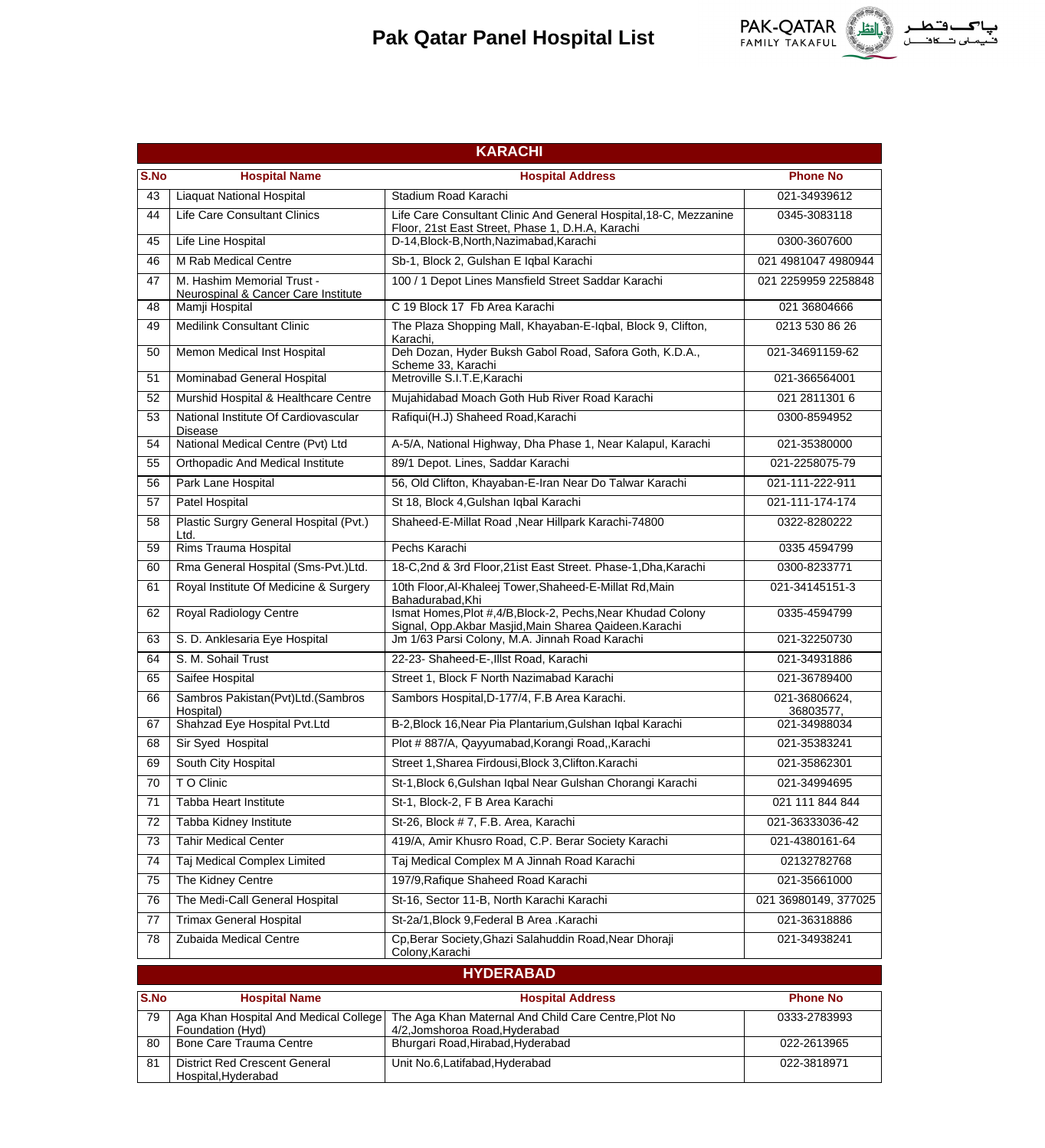

022-2613965 022-3818971

|      | <b>KARACHI</b>                                                    |                                                                                                                        |                            |  |
|------|-------------------------------------------------------------------|------------------------------------------------------------------------------------------------------------------------|----------------------------|--|
| S.No | <b>Hospital Name</b>                                              | <b>Hospital Address</b>                                                                                                | <b>Phone No</b>            |  |
| 43   | Liaquat National Hospital                                         | Stadium Road Karachi                                                                                                   | 021-34939612               |  |
| 44   | <b>Life Care Consultant Clinics</b>                               | Life Care Consultant Clinic And General Hospital, 18-C, Mezzanine<br>Floor, 21st East Street, Phase 1, D.H.A, Karachi  | 0345-3083118               |  |
| 45   | Life Line Hospital                                                | D-14, Block-B, North, Nazimabad, Karachi                                                                               | 0300-3607600               |  |
| 46   | M Rab Medical Centre                                              | Sb-1, Block 2, Gulshan E Iqbal Karachi                                                                                 | 021 4981047 4980944        |  |
| 47   | M. Hashim Memorial Trust -<br>Neurospinal & Cancer Care Institute | 100 / 1 Depot Lines Mansfield Street Saddar Karachi                                                                    | 021 2259959 2258848        |  |
| 48   | Mamji Hospital                                                    | C 19 Block 17 Fb Area Karachi                                                                                          | 021 36804666               |  |
| 49   | <b>Medilink Consultant Clinic</b>                                 | The Plaza Shopping Mall, Khayaban-E-Iqbal, Block 9, Clifton,<br>Karachi.                                               | 0213 530 86 26             |  |
| 50   | Memon Medical Inst Hospital                                       | Deh Dozan, Hyder Buksh Gabol Road, Safora Goth, K.D.A.,<br>Scheme 33, Karachi                                          | 021-34691159-62            |  |
| 51   | Mominabad General Hospital                                        | Metroville S.I.T.E.Karachi                                                                                             | 021-366564001              |  |
| 52   | Murshid Hospital & Healthcare Centre                              | Mujahidabad Moach Goth Hub River Road Karachi                                                                          | 021 2811301 6              |  |
| 53   | National Institute Of Cardiovascular<br><b>Disease</b>            | Rafiqui(H.J) Shaheed Road, Karachi                                                                                     | 0300-8594952               |  |
| 54   | National Medical Centre (Pvt) Ltd                                 | A-5/A, National Highway, Dha Phase 1, Near Kalapul, Karachi                                                            | 021-35380000               |  |
| 55   | <b>Orthopadic And Medical Institute</b>                           | 89/1 Depot. Lines, Saddar Karachi                                                                                      | 021-2258075-79             |  |
| 56   | Park Lane Hospital                                                | 56, Old Clifton, Khayaban-E-Iran Near Do Talwar Karachi                                                                | 021-111-222-911            |  |
| 57   | Patel Hospital                                                    | St 18, Block 4, Gulshan Iqbal Karachi                                                                                  | 021-111-174-174            |  |
| 58   | Plastic Surgry General Hospital (Pvt.)<br>Ltd.                    | Shaheed-E-Millat Road, Near Hillpark Karachi-74800                                                                     | 0322-8280222               |  |
| 59   | Rims Trauma Hospital                                              | Pechs Karachi                                                                                                          | 0335 4594799               |  |
| 60   | Rma General Hospital (Sms-Pvt.)Ltd.                               | 18-C,2nd & 3rd Floor,21ist East Street. Phase-1,Dha,Karachi                                                            | 0300-8233771               |  |
| 61   | Royal Institute Of Medicine & Surgery                             | 10th Floor, Al-Khaleej Tower, Shaheed-E-Millat Rd, Main<br>Bahadurabad, Khi                                            | 021-34145151-3             |  |
| 62   | Royal Radiology Centre                                            | Ismat Homes, Plot #, 4/B, Block-2, Pechs, Near Khudad Colony<br>Signal, Opp.Akbar Masjid, Main Sharea Qaideen. Karachi | 0335-4594799               |  |
| 63   | S. D. Anklesaria Eye Hospital                                     | Jm 1/63 Parsi Colony, M.A. Jinnah Road Karachi                                                                         | 021-32250730               |  |
| 64   | S. M. Sohail Trust                                                | 22-23- Shaheed-E-, Illst Road, Karachi                                                                                 | 021-34931886               |  |
| 65   | Saifee Hospital                                                   | Street 1, Block F North Nazimabad Karachi                                                                              | 021-36789400               |  |
| 66   | Sambros Pakistan(Pvt)Ltd.(Sambros<br>Hospital)                    | Sambors Hospital, D-177/4, F.B Area Karachi.                                                                           | 021-36806624.<br>36803577, |  |
| 67   | Shahzad Eye Hospital Pvt.Ltd                                      | B-2, Block 16, Near Pia Plantarium, Gulshan Iqbal Karachi                                                              | 021-34988034               |  |
| 68   | Sir Syed Hospital                                                 | Plot #887/A, Qayyumabad, Korangi Road, Karachi                                                                         | 021-35383241               |  |
| 69   | South City Hospital                                               | Street 1, Sharea Firdousi, Block 3, Clifton. Karachi                                                                   | 021-35862301               |  |
| 70   | T O Clinic                                                        | St-1, Block 6, Gulshan Iqbal Near Gulshan Chorangi Karachi                                                             | 021-34994695               |  |
| 71   | Tabba Heart Institute                                             | St-1, Block-2, F B Area Karachi                                                                                        | 021 111 844 844            |  |
| 72   | Tabba Kidney Institute                                            | St-26, Block # 7, F.B. Area, Karachi                                                                                   | 021-36333036-42            |  |
| 73   | <b>Tahir Medical Center</b>                                       | 419/A, Amir Khusro Road, C.P. Berar Society Karachi                                                                    | 021-4380161-64             |  |
| 74   | Taj Medical Complex Limited                                       | Taj Medical Complex M A Jinnah Road Karachi                                                                            | 02132782768                |  |
| 75   | The Kidney Centre                                                 | 197/9, Rafique Shaheed Road Karachi                                                                                    | 021-35661000               |  |
| 76   | The Medi-Call General Hospital                                    | St-16, Sector 11-B, North Karachi Karachi                                                                              | 021 36980149, 377025       |  |
| 77   | <b>Trimax General Hospital</b>                                    | St-2a/1, Block 9, Federal B Area . Karachi                                                                             | 021-36318886               |  |
| 78   | Zubaida Medical Centre                                            | Cp, Berar Society, Ghazi Salahuddin Road, Near Dhoraji<br>Colony, Karachi                                              | 021-34938241               |  |
|      |                                                                   | <b>HYDERABAD</b>                                                                                                       |                            |  |
| S.No | <b>Hospital Name</b>                                              | <b>Hospital Address</b>                                                                                                | <b>Phone No</b>            |  |
| 79   | Aga Khan Hospital And Medical College<br>Foundation (Hyd)         | The Aga Khan Maternal And Child Care Centre, Plot No<br>4/2, Jomshoroa Road, Hyderabad                                 | 0333-2783993               |  |

Bhurgari Road,Hirabad,Hyderabad Unit No.6,Latifabad,Hyderabad

80 | Bone Care Trauma Centre

Hospital,Hyderabad

81

District Red Crescent General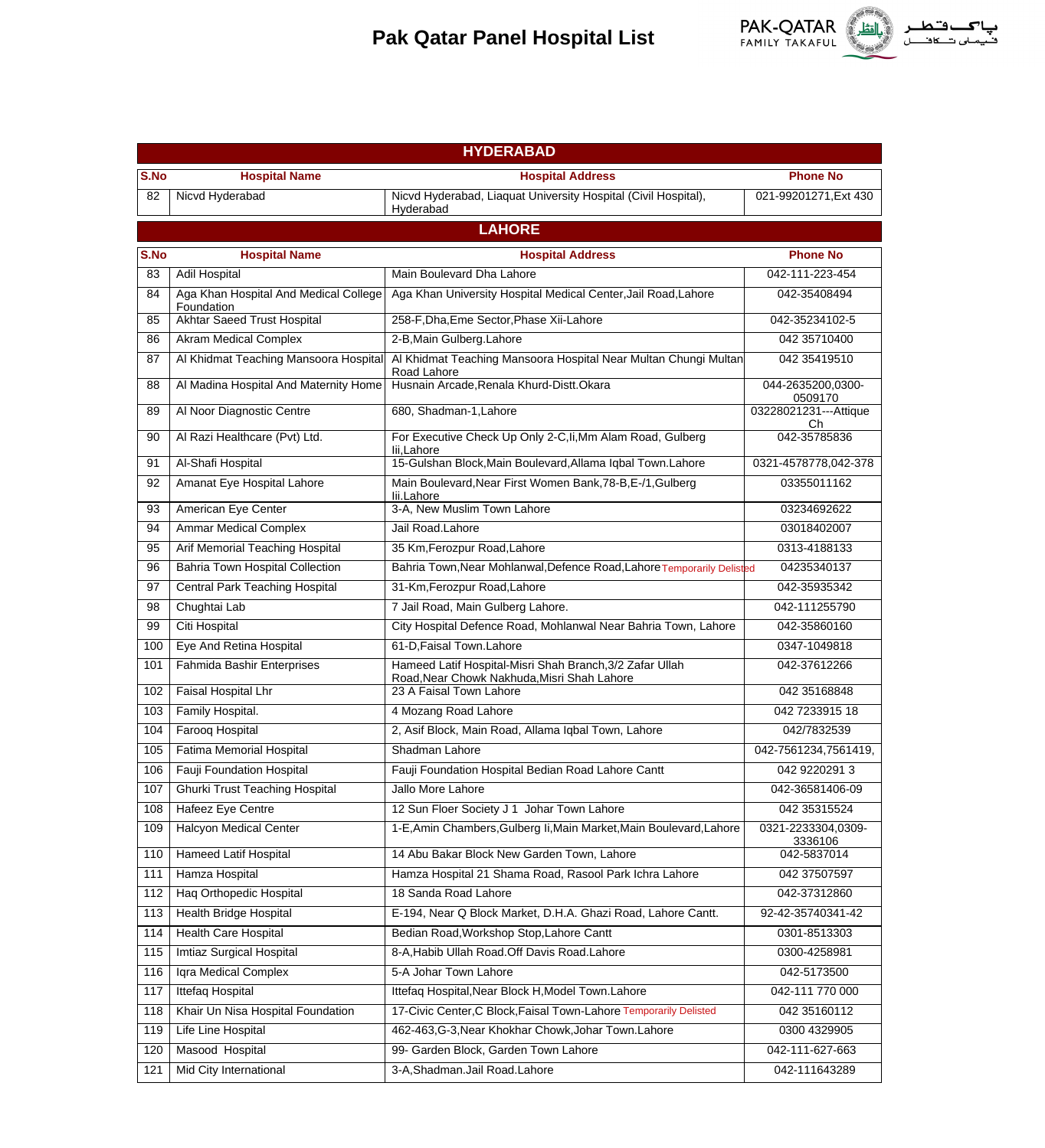

|      | <b>HYDERABAD</b>                                    |                                                                                                         |                               |  |
|------|-----------------------------------------------------|---------------------------------------------------------------------------------------------------------|-------------------------------|--|
| S.No | <b>Hospital Name</b>                                | <b>Hospital Address</b>                                                                                 | <b>Phone No</b>               |  |
| 82   | Nicvd Hyderabad                                     | Nicvd Hyderabad, Liaquat University Hospital (Civil Hospital),<br>Hyderabad                             | 021-99201271, Ext 430         |  |
|      |                                                     | <b>LAHORE</b>                                                                                           |                               |  |
| S.No | <b>Hospital Name</b>                                | <b>Hospital Address</b>                                                                                 | <b>Phone No</b>               |  |
| 83   | Adil Hospital                                       | Main Boulevard Dha Lahore                                                                               | 042-111-223-454               |  |
| 84   | Aga Khan Hospital And Medical College<br>Foundation | Aga Khan University Hospital Medical Center, Jail Road, Lahore                                          | 042-35408494                  |  |
| 85   | <b>Akhtar Saeed Trust Hospital</b>                  | 258-F, Dha, Eme Sector, Phase Xii-Lahore                                                                | 042-35234102-5                |  |
| 86   | <b>Akram Medical Complex</b>                        | 2-B, Main Gulberg. Lahore                                                                               | 042 35710400                  |  |
| 87   | Al Khidmat Teaching Mansoora Hospital               | Al Khidmat Teaching Mansoora Hospital Near Multan Chungi Multan<br>Road Lahore                          | 042 35419510                  |  |
| 88   | Al Madina Hospital And Maternity Home               | Husnain Arcade, Renala Khurd-Distt. Okara                                                               | 044-2635200,0300-<br>0509170  |  |
| 89   | Al Noor Diagnostic Centre                           | 680, Shadman-1, Lahore                                                                                  | 03228021231---Attique<br>Ch   |  |
| 90   | Al Razi Healthcare (Pvt) Ltd.                       | For Executive Check Up Only 2-C, li, Mm Alam Road, Gulberg<br>lii,Lahore                                | 042-35785836                  |  |
| 91   | Al-Shafi Hospital                                   | 15-Gulshan Block, Main Boulevard, Allama Iqbal Town. Lahore                                             | 0321-4578778,042-378          |  |
| 92   | Amanat Eye Hospital Lahore                          | Main Boulevard, Near First Women Bank, 78-B, E-/1, Gulberg<br>lii.Lahore                                | 03355011162                   |  |
| 93   | American Eye Center                                 | 3-A, New Muslim Town Lahore                                                                             | 03234692622                   |  |
| 94   | <b>Ammar Medical Complex</b>                        | Jail Road.Lahore                                                                                        | 03018402007                   |  |
| 95   | Arif Memorial Teaching Hospital                     | 35 Km, Ferozpur Road, Lahore                                                                            | 0313-4188133                  |  |
| 96   | <b>Bahria Town Hospital Collection</b>              | Bahria Town, Near Mohlanwal, Defence Road, Lahore Temporarily Delisted                                  | 04235340137                   |  |
| 97   | <b>Central Park Teaching Hospital</b>               | 31-Km, Ferozpur Road, Lahore                                                                            | 042-35935342                  |  |
| 98   | Chughtai Lab                                        | 7 Jail Road, Main Gulberg Lahore.                                                                       | 042-111255790                 |  |
| 99   | Citi Hospital                                       | City Hospital Defence Road, Mohlanwal Near Bahria Town, Lahore                                          | 042-35860160                  |  |
| 100  | Eye And Retina Hospital                             | 61-D, Faisal Town. Lahore                                                                               | 0347-1049818                  |  |
| 101  | Fahmida Bashir Enterprises                          | Hameed Latif Hospital-Misri Shah Branch, 3/2 Zafar Ullah<br>Road, Near Chowk Nakhuda, Misri Shah Lahore | 042-37612266                  |  |
| 102  | Faisal Hospital Lhr                                 | 23 A Faisal Town Lahore                                                                                 | 042 351 68848                 |  |
| 103  | Family Hospital.                                    | 4 Mozang Road Lahore                                                                                    | 042 7233915 18                |  |
| 104  | Farooq Hospital                                     | 2, Asif Block, Main Road, Allama Iqbal Town, Lahore                                                     | 042/7832539                   |  |
| 105  | Fatima Memorial Hospital                            | Shadman Lahore                                                                                          | 042-7561234,7561419,          |  |
| 106  | Fauji Foundation Hospital                           | Fauji Foundation Hospital Bedian Road Lahore Cantt                                                      | 042 9220291 3                 |  |
| 107  | <b>Ghurki Trust Teaching Hospital</b>               | Jallo More Lahore                                                                                       | 042-36581406-09               |  |
| 108  | Hafeez Eye Centre                                   | 12 Sun Floer Society J 1 Johar Town Lahore                                                              | 042 35315524                  |  |
| 109  | <b>Halcyon Medical Center</b>                       | 1-E, Amin Chambers, Gulberg Ii, Main Market, Main Boulevard, Lahore                                     | 0321-2233304,0309-<br>3336106 |  |
| 110  | Hameed Latif Hospital                               | 14 Abu Bakar Block New Garden Town, Lahore                                                              | 042-5837014                   |  |
| 111  | Hamza Hospital                                      | Hamza Hospital 21 Shama Road, Rasool Park Ichra Lahore                                                  | 042 37507597                  |  |
| 112  | Haq Orthopedic Hospital                             | 18 Sanda Road Lahore                                                                                    | 042-37312860                  |  |
| 113  | Health Bridge Hospital                              | E-194, Near Q Block Market, D.H.A. Ghazi Road, Lahore Cantt.                                            | 92-42-35740341-42             |  |
| 114  | <b>Health Care Hospital</b>                         | Bedian Road, Workshop Stop, Lahore Cantt                                                                | 0301-8513303                  |  |
| 115  | Imtiaz Surgical Hospital                            | 8-A, Habib Ullah Road. Off Davis Road. Lahore                                                           | 0300-4258981                  |  |
| 116  | Iqra Medical Complex                                | 5-A Johar Town Lahore                                                                                   | 042-5173500                   |  |
| 117  | Ittefaq Hospital                                    | Ittefaq Hospital, Near Block H, Model Town. Lahore                                                      | 042-111 770 000               |  |
| 118  | Khair Un Nisa Hospital Foundation                   | 17-Civic Center, C Block, Faisal Town-Lahore Temporarily Delisted                                       | 042 35160112                  |  |
| 119  | Life Line Hospital                                  | 462-463, G-3, Near Khokhar Chowk, Johar Town. Lahore                                                    | 0300 4329905                  |  |
| 120  | Masood Hospital                                     | 99- Garden Block, Garden Town Lahore                                                                    | 042-111-627-663               |  |
| 121  | Mid City International                              | 3-A, Shadman. Jail Road. Lahore                                                                         | 042-111643289                 |  |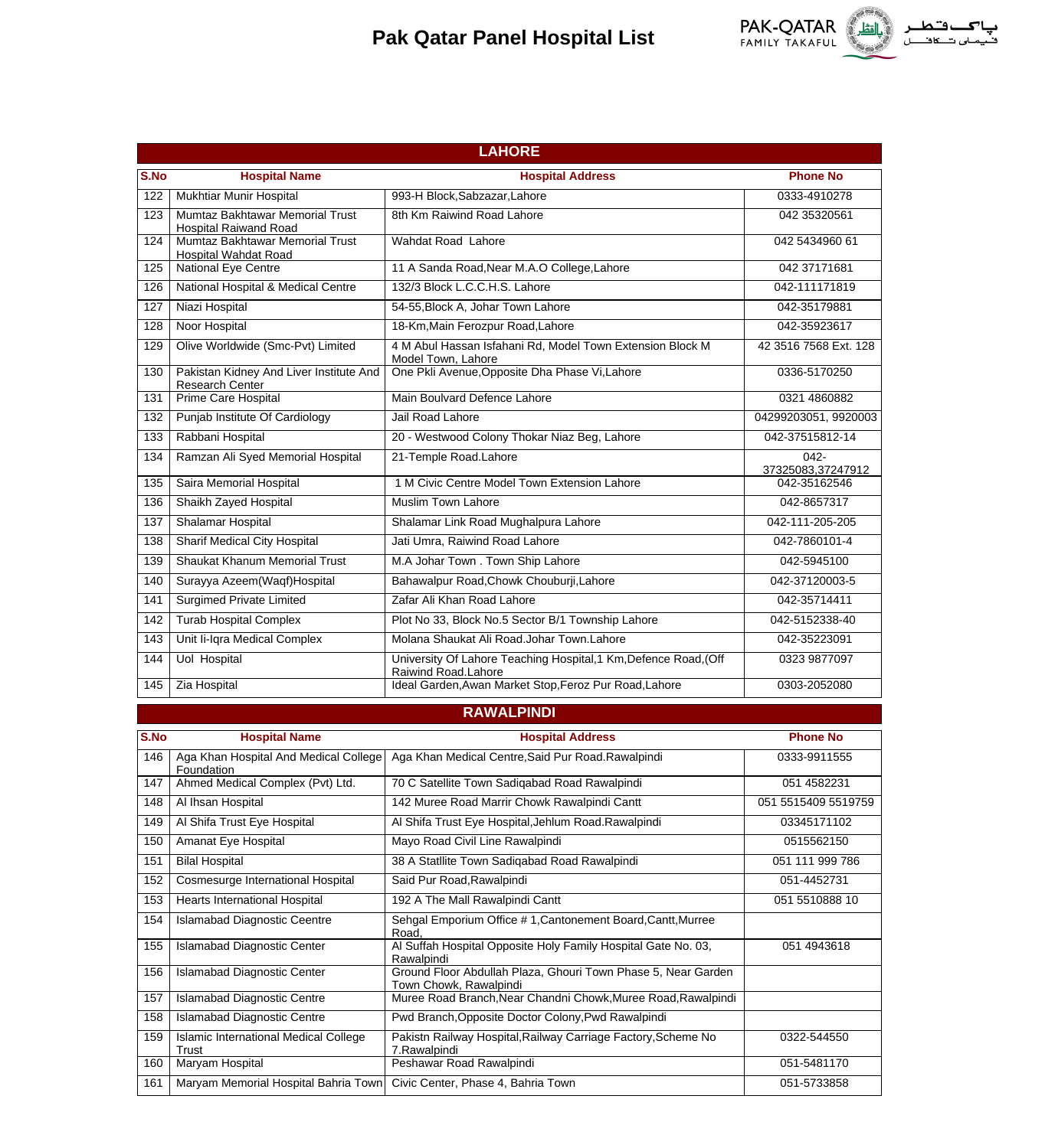

|      | <b>LAHORE</b>                                                     |                                                                                         |                              |  |
|------|-------------------------------------------------------------------|-----------------------------------------------------------------------------------------|------------------------------|--|
| S.No | <b>Hospital Name</b>                                              | <b>Hospital Address</b>                                                                 | <b>Phone No</b>              |  |
| 122  | Mukhtiar Munir Hospital                                           | 993-H Block, Sabzazar, Lahore                                                           | 0333-4910278                 |  |
| 123  | Mumtaz Bakhtawar Memorial Trust<br><b>Hospital Raiwand Road</b>   | 8th Km Raiwind Road Lahore                                                              | 042 35320561                 |  |
| 124  | Mumtaz Bakhtawar Memorial Trust<br><b>Hospital Wahdat Road</b>    | Wahdat Road Lahore                                                                      | 042 5434960 61               |  |
| 125  | <b>National Eye Centre</b>                                        | 11 A Sanda Road, Near M.A.O College, Lahore                                             | 042 37171681                 |  |
| 126  | National Hospital & Medical Centre                                | 132/3 Block L.C.C.H.S. Lahore                                                           | 042-111171819                |  |
| 127  | Niazi Hospital                                                    | 54-55, Block A, Johar Town Lahore                                                       | 042-35179881                 |  |
| 128  | Noor Hospital                                                     | 18-Km, Main Ferozpur Road, Lahore                                                       | 042-35923617                 |  |
| 129  | Olive Worldwide (Smc-Pvt) Limited                                 | 4 M Abul Hassan Isfahani Rd, Model Town Extension Block M<br>Model Town, Lahore         | 42 3516 7568 Ext. 128        |  |
| 130  | Pakistan Kidney And Liver Institute And<br><b>Research Center</b> | One Pkli Avenue, Opposite Dha Phase Vi, Lahore                                          | 0336-5170250                 |  |
| 131  | Prime Care Hospital                                               | Main Boulvard Defence Lahore                                                            | 0321 4860882                 |  |
| 132  | Punjab Institute Of Cardiology                                    | Jail Road Lahore                                                                        | 04299203051, 9920003         |  |
| 133  | Rabbani Hospital                                                  | 20 - Westwood Colony Thokar Niaz Beg, Lahore                                            | 042-37515812-14              |  |
| 134  | Ramzan Ali Syed Memorial Hospital                                 | 21-Temple Road.Lahore                                                                   | $042 -$<br>37325083,37247912 |  |
| 135  | Saira Memorial Hospital                                           | 1 M Civic Centre Model Town Extension Lahore                                            | 042-35162546                 |  |
| 136  | Shaikh Zayed Hospital                                             | Muslim Town Lahore                                                                      | 042-8657317                  |  |
| 137  | <b>Shalamar Hospital</b>                                          | Shalamar Link Road Mughalpura Lahore                                                    | 042-111-205-205              |  |
| 138  | Sharif Medical City Hospital                                      | Jati Umra, Raiwind Road Lahore                                                          | 042-7860101-4                |  |
| 139  | <b>Shaukat Khanum Memorial Trust</b>                              | M.A Johar Town . Town Ship Lahore                                                       | 042-5945100                  |  |
| 140  | Surayya Azeem(Waqf)Hospital                                       | Bahawalpur Road, Chowk Chouburji, Lahore                                                | 042-37120003-5               |  |
| 141  | <b>Surgimed Private Limited</b>                                   | Zafar Ali Khan Road Lahore                                                              | 042-35714411                 |  |
| 142  | <b>Turab Hospital Complex</b>                                     | Plot No 33, Block No.5 Sector B/1 Township Lahore                                       | 042-5152338-40               |  |
| 143  | Unit Ii-Iqra Medical Complex                                      | Molana Shaukat Ali Road.Johar Town.Lahore                                               | 042-35223091                 |  |
| 144  | <b>Uol Hospital</b>                                               | University Of Lahore Teaching Hospital, 1 Km, Defence Road, (Off<br>Raiwind Road.Lahore | 0323 9877097                 |  |
| 145  | Zia Hospital                                                      | Ideal Garden, Awan Market Stop, Feroz Pur Road, Lahore                                  | 0303-2052080                 |  |
|      |                                                                   | <b>RAWALPINDI</b>                                                                       |                              |  |
| S.No | <b>Hospital Name</b>                                              | <b>Hospital Address</b>                                                                 | <b>Phone No</b>              |  |
| 146  | Aga Khan Hospital And Medical College<br>Foundation               | Aga Khan Medical Centre, Said Pur Road. Rawalpindi                                      | 0333-9911555                 |  |
| 147  | Ahmed Medical Complex (Pvt) Ltd.                                  | 70 C Satellite Town Sadigabad Road Rawalpindi                                           | 051 4582231                  |  |
| 148  | Al Ihsan Hospital                                                 | 142 Muree Road Marrir Chowk Rawalpindi Cantt                                            | 051 5515409 5519759          |  |
| 149  | Al Shifa Trust Eye Hospital                                       | Al Shifa Trust Eye Hospital, Jehlum Road. Rawalpindi                                    | 03345171102                  |  |
| 150  | Amanat Eye Hospital                                               | Mayo Road Civil Line Rawalpindi                                                         | 0515562150                   |  |
| 151  | <b>Bilal Hospital</b>                                             | 38 A Statllite Town Sadiqabad Road Rawalpindi                                           | 051 111 999 786              |  |
| 152  | Cosmesurge International Hospital                                 | Said Pur Road, Rawalpindi                                                               | 051-4452731                  |  |
| 153  | <b>Hearts International Hospital</b>                              | 192 A The Mall Rawalpindi Cantt                                                         | 051 5510888 10               |  |
| 154  | <b>Islamabad Diagnostic Ceentre</b>                               | Sehgal Emporium Office # 1, Cantonement Board, Cantt, Murree<br>Road,                   |                              |  |
| 155  | <b>Islamabad Diagnostic Center</b>                                | Al Suffah Hospital Opposite Holy Family Hospital Gate No. 03,<br>Rawalpindi             | 051 4943618                  |  |
| 156  | <b>Islamabad Diagnostic Center</b>                                | Ground Floor Abdullah Plaza, Ghouri Town Phase 5, Near Garden<br>Town Chowk, Rawalpindi |                              |  |
| 157  | <b>Islamabad Diagnostic Centre</b>                                | Muree Road Branch, Near Chandni Chowk, Muree Road, Rawalpindi                           |                              |  |
| 158  | <b>Islamabad Diagnostic Centre</b>                                | Pwd Branch, Opposite Doctor Colony, Pwd Rawalpindi                                      |                              |  |
| 159  | Islamic International Medical College<br>Trust                    | Pakistn Railway Hospital, Railway Carriage Factory, Scheme No<br>7.Rawalpindi           | 0322-544550                  |  |
| 160  | Maryam Hospital                                                   | Peshawar Road Rawalpindi                                                                | 051-5481170                  |  |
| 161  | Maryam Memorial Hospital Bahria Town                              | Civic Center, Phase 4, Bahria Town                                                      | 051-5733858                  |  |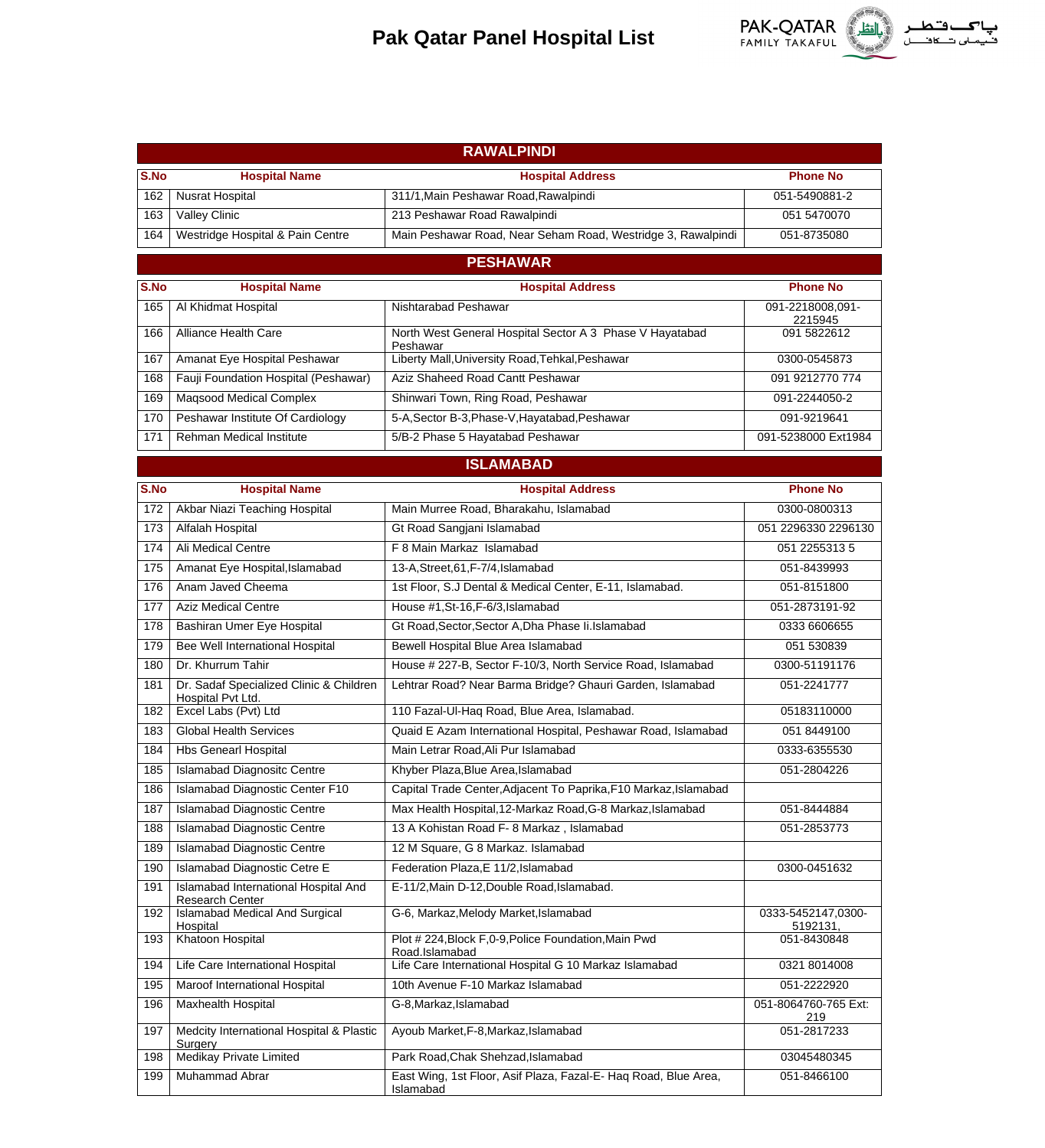

|      | <b>RAWALPINDI</b>                                            |                                                                              |                                |  |
|------|--------------------------------------------------------------|------------------------------------------------------------------------------|--------------------------------|--|
| S.No | <b>Hospital Name</b>                                         | <b>Hospital Address</b>                                                      | <b>Phone No</b>                |  |
| 162  | Nusrat Hospital                                              | 311/1, Main Peshawar Road, Rawalpindi                                        | 051-5490881-2                  |  |
| 163  | Valley Clinic                                                | 213 Peshawar Road Rawalpindi                                                 | 051 5470070                    |  |
| 164  | Westridge Hospital & Pain Centre                             | Main Peshawar Road, Near Seham Road, Westridge 3, Rawalpindi                 | 051-8735080                    |  |
|      |                                                              | <b>PESHAWAR</b>                                                              |                                |  |
| S.No | <b>Hospital Name</b>                                         | <b>Hospital Address</b>                                                      | <b>Phone No</b>                |  |
| 165  | Al Khidmat Hospital                                          | Nishtarabad Peshawar                                                         | 091-2218008,091-               |  |
| 166  | Alliance Health Care                                         | North West General Hospital Sector A 3 Phase V Hayatabad<br>Peshawar         | 2215945<br>091 5822612         |  |
| 167  | Amanat Eye Hospital Peshawar                                 | Liberty Mall, University Road, Tehkal, Peshawar                              | 0300-0545873                   |  |
| 168  | Fauji Foundation Hospital (Peshawar)                         | Aziz Shaheed Road Cantt Peshawar                                             | 091 9212770 774                |  |
| 169  | <b>Magsood Medical Complex</b>                               | Shinwari Town, Ring Road, Peshawar                                           | 091-2244050-2                  |  |
| 170  | Peshawar Institute Of Cardiology                             | 5-A, Sector B-3, Phase-V, Hayatabad, Peshawar                                | 091-9219641                    |  |
| 171  | <b>Rehman Medical Institute</b>                              | 5/B-2 Phase 5 Hayatabad Peshawar                                             | 091-5238000 Ext1984            |  |
|      |                                                              | <b>ISLAMABAD</b>                                                             |                                |  |
| S.No | <b>Hospital Name</b>                                         | <b>Hospital Address</b>                                                      | <b>Phone No</b>                |  |
| 172  | Akbar Niazi Teaching Hospital                                | Main Murree Road, Bharakahu, Islamabad                                       | 0300-0800313                   |  |
| 173  | Alfalah Hospital                                             | Gt Road Sangjani Islamabad                                                   | 051 2296330 2296130            |  |
| 174  | <b>Ali Medical Centre</b>                                    | F 8 Main Markaz Islamabad                                                    | 051 2255313 5                  |  |
| 175  | Amanat Eye Hospital, Islamabad                               | 13-A, Street, 61, F-7/4, Islamabad                                           | 051-8439993                    |  |
| 176  | Anam Javed Cheema                                            | 1st Floor, S.J Dental & Medical Center, E-11, Islamabad.                     | 051-8151800                    |  |
| 177  | <b>Aziz Medical Centre</b>                                   | House #1, St-16, F-6/3, Islamabad                                            | 051-2873191-92                 |  |
| 178  | Bashiran Umer Eye Hospital                                   | Gt Road, Sector, Sector A, Dha Phase Ii. Islamabad                           | 0333 6606655                   |  |
| 179  | Bee Well International Hospital                              | Bewell Hospital Blue Area Islamabad                                          | 051 530839                     |  |
| 180  | Dr. Khurrum Tahir                                            | House # 227-B, Sector F-10/3, North Service Road, Islamabad                  | 0300-51191176                  |  |
| 181  | Dr. Sadaf Specialized Clinic & Children<br>Hospital Pvt Ltd. | Lehtrar Road? Near Barma Bridge? Ghauri Garden, Islamabad                    | 051-2241777                    |  |
| 182  | Excel Labs (Pvt) Ltd                                         | 110 Fazal-Ul-Haq Road, Blue Area, Islamabad.                                 | 05183110000                    |  |
| 183  | <b>Global Health Services</b>                                | Quaid E Azam International Hospital, Peshawar Road, Islamabad                | 051 8449100                    |  |
| 184  | <b>Hbs Genearl Hospital</b>                                  | Main Letrar Road, Ali Pur Islamabad                                          | 0333-6355530                   |  |
| 185  | <b>Islamabad Diagnositc Centre</b>                           | Khyber Plaza, Blue Area, Islamabad                                           | 051-2804226                    |  |
| 186  | <b>Islamabad Diagnostic Center F10</b>                       | Capital Trade Center, Adjacent To Paprika, F10 Markaz, Islamabad             |                                |  |
| 187  | <b>Islamabad Diagnostic Centre</b>                           | Max Health Hospital, 12-Markaz Road, G-8 Markaz, Islamabad                   | 051-8444884                    |  |
| 188  | <b>Islamabad Diagnostic Centre</b>                           | 13 A Kohistan Road F- 8 Markaz, Islamabad                                    | 051-2853773                    |  |
| 189  | <b>Islamabad Diagnostic Centre</b>                           | 12 M Square, G 8 Markaz. Islamabad                                           |                                |  |
| 190  | Islamabad Diagnostic Cetre E                                 | Federation Plaza, E 11/2, Islamabad                                          | 0300-0451632                   |  |
| 191  | Islamabad International Hospital And<br>Research Center      | E-11/2, Main D-12, Double Road, Islamabad.                                   |                                |  |
| 192  | <b>Islamabad Medical And Surgical</b><br>Hospital            | G-6, Markaz, Melody Market, Islamabad                                        | 0333-5452147,0300-<br>5192131, |  |
| 193  | Khatoon Hospital                                             | Plot # 224, Block F, 0-9, Police Foundation, Main Pwd<br>Road.Islamabad      | 051-8430848                    |  |
| 194  | Life Care International Hospital                             | Life Care International Hospital G 10 Markaz Islamabad                       | 0321 8014008                   |  |
| 195  | Maroof International Hospital                                | 10th Avenue F-10 Markaz Islamabad                                            | 051-2222920                    |  |
| 196  | <b>Maxhealth Hospital</b>                                    | G-8, Markaz, Islamabad                                                       | 051-8064760-765 Ext:<br>219    |  |
| 197  | Medcity International Hospital & Plastic<br>Surgery          | Ayoub Market, F-8, Markaz, Islamabad                                         | 051-2817233                    |  |
| 198  | Medikay Private Limited                                      | Park Road, Chak Shehzad, Islamabad                                           | 03045480345                    |  |
| 199  | Muhammad Abrar                                               | East Wing, 1st Floor, Asif Plaza, Fazal-E- Hag Road, Blue Area,<br>Islamabad | 051-8466100                    |  |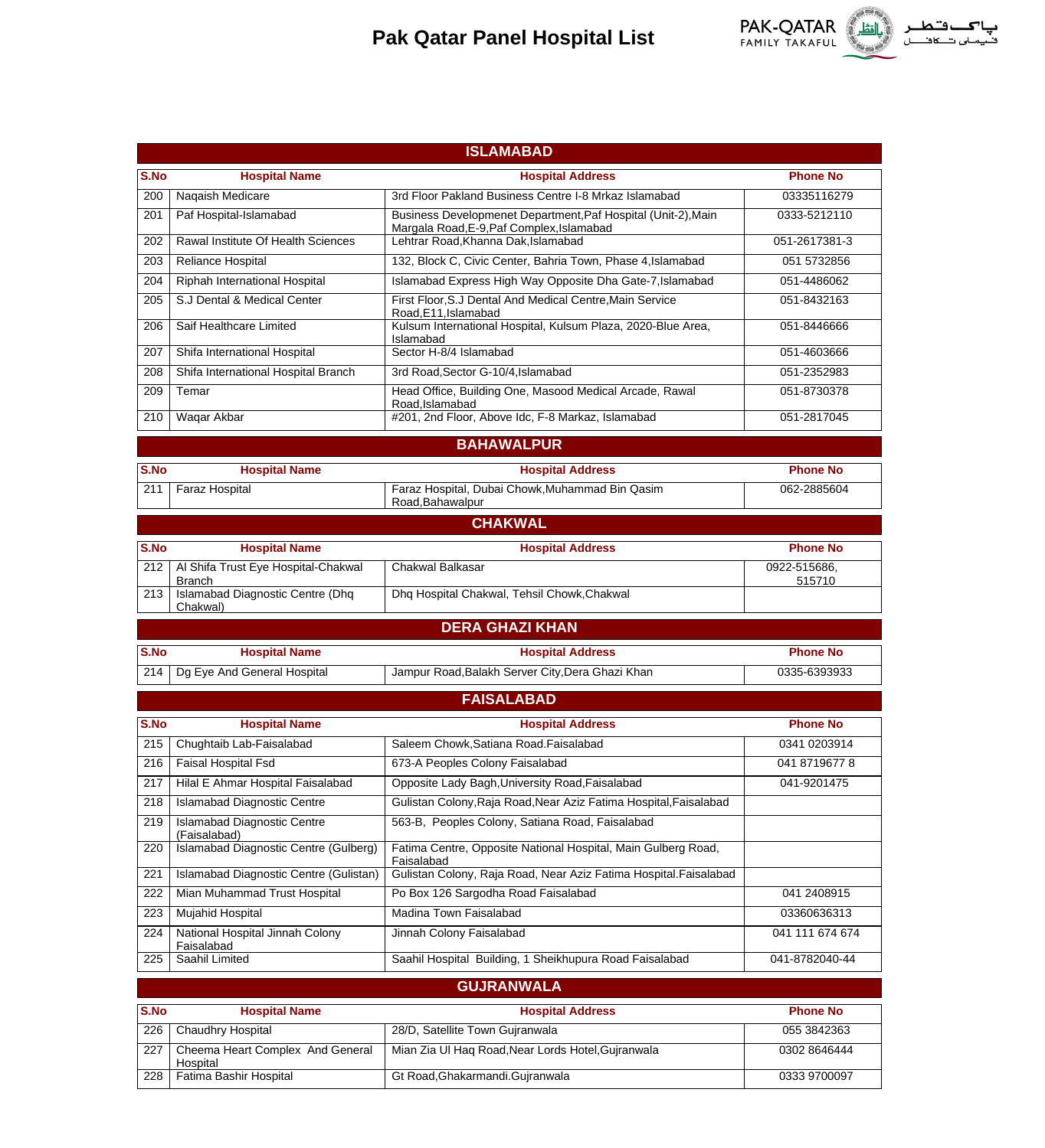

|             |                                                                   | <b>ISLAMABAD</b>                                                                                                     |                                |  |
|-------------|-------------------------------------------------------------------|----------------------------------------------------------------------------------------------------------------------|--------------------------------|--|
| S.No        |                                                                   |                                                                                                                      | <b>Phone No</b>                |  |
| 200         | <b>Hospital Name</b><br>Naqaish Medicare                          | <b>Hospital Address</b><br>3rd Floor Pakland Business Centre I-8 Mrkaz Islamabad                                     | 03335116279                    |  |
| 201         | Paf Hospital-Islamabad                                            | Business Developmenet Department, Paf Hospital (Unit-2), Main                                                        | 0333-5212110                   |  |
|             |                                                                   | Margala Road, E-9, Paf Complex, Islamabad                                                                            |                                |  |
| 202         | Rawal Institute Of Health Sciences                                | Lehtrar Road, Khanna Dak, Islamabad                                                                                  | 051-2617381-3                  |  |
| 203         | Reliance Hospital                                                 | 132, Block C, Civic Center, Bahria Town, Phase 4, Islamabad                                                          | 051 5732856                    |  |
| 204         | Riphah International Hospital                                     | Islamabad Express High Way Opposite Dha Gate-7, Islamabad                                                            | 051-4486062                    |  |
| 205         | S.J Dental & Medical Center                                       | First Floor, S.J Dental And Medical Centre, Main Service<br>Road, E11, Islamabad                                     | 051-8432163                    |  |
| 206         | Saif Healthcare Limited                                           | Kulsum International Hospital, Kulsum Plaza, 2020-Blue Area,<br>Islamabad                                            | 051-8446666                    |  |
| 207         | Shifa International Hospital                                      | Sector H-8/4 Islamabad                                                                                               | 051-4603666                    |  |
| 208         | Shifa International Hospital Branch                               | 3rd Road, Sector G-10/4, Islamabad                                                                                   | 051-2352983                    |  |
| 209         | Temar                                                             | Head Office, Building One, Masood Medical Arcade, Rawal<br>Road, Islamabad                                           | 051-8730378                    |  |
| 210         | Waqar Akbar                                                       | #201, 2nd Floor, Above Idc, F-8 Markaz, Islamabad                                                                    | 051-2817045                    |  |
|             |                                                                   | <b>BAHAWALPUR</b>                                                                                                    |                                |  |
| S.No        | <b>Hospital Name</b>                                              | <b>Hospital Address</b>                                                                                              | <b>Phone No</b>                |  |
| 211         | Faraz Hospital                                                    | Faraz Hospital, Dubai Chowk, Muhammad Bin Qasim                                                                      | 062-2885604                    |  |
|             |                                                                   | Road, Bahawalpur                                                                                                     |                                |  |
|             |                                                                   | <b>CHAKWAL</b>                                                                                                       |                                |  |
| S.No        | <b>Hospital Name</b>                                              | <b>Hospital Address</b>                                                                                              | <b>Phone No</b>                |  |
| 212         | Al Shifa Trust Eye Hospital-Chakwal<br><b>Branch</b>              | Chakwal Balkasar                                                                                                     | 0922-515686,<br>515710         |  |
| 213         | Islamabad Diagnostic Centre (Dhq<br>Chakwal)                      | Dhq Hospital Chakwal, Tehsil Chowk, Chakwal                                                                          |                                |  |
|             |                                                                   |                                                                                                                      |                                |  |
|             |                                                                   | <b>DERA GHAZI KHAN</b>                                                                                               |                                |  |
| S.No        | <b>Hospital Name</b>                                              | <b>Hospital Address</b>                                                                                              | <b>Phone No</b>                |  |
| 214         | Dg Eye And General Hospital                                       | Jampur Road, Balakh Server City, Dera Ghazi Khan                                                                     | 0335-6393933                   |  |
|             |                                                                   |                                                                                                                      |                                |  |
|             |                                                                   | <b>FAISALABAD</b>                                                                                                    |                                |  |
| S.No        | <b>Hospital Name</b>                                              | <b>Hospital Address</b>                                                                                              | <b>Phone No</b>                |  |
| 215         | Chughtaib Lab-Faisalabad                                          | Saleem Chowk, Satiana Road. Faisalabad                                                                               | 0341 0203914                   |  |
| 216         | <b>Faisal Hospital Fsd</b>                                        | 673-A Peoples Colony Faisalabad                                                                                      | 041 8719677 8                  |  |
| 217         | Hilal E Ahmar Hospital Faisalabad                                 | Opposite Lady Bagh, University Road, Faisalabad                                                                      | 041-9201475                    |  |
| 218<br>219  | Islamabad Diagnostic Centre<br><b>Islamabad Diagnostic Centre</b> | Gulistan Colony, Raja Road, Near Aziz Fatima Hospital, Faisalabad<br>563-B, Peoples Colony, Satiana Road, Faisalabad |                                |  |
| 220         | (Faisalabad)<br>Islamabad Diagnostic Centre (Gulberg)             | Fatima Centre, Opposite National Hospital, Main Gulberg Road,                                                        |                                |  |
| 221         |                                                                   | Faisalabad                                                                                                           |                                |  |
|             | Islamabad Diagnostic Centre (Gulistan)                            | Gulistan Colony, Raja Road, Near Aziz Fatima Hospital. Faisalabad                                                    |                                |  |
| 222<br>223  | Mian Muhammad Trust Hospital                                      | Po Box 126 Sargodha Road Faisalabad<br>Madina Town Faisalabad                                                        | 041 2408915<br>03360636313     |  |
| 224         | Mujahid Hospital                                                  | Jinnah Colony Faisalabad                                                                                             | 041 111 674 674                |  |
| 225         | National Hospital Jinnah Colony<br>Faisalabad<br>Saahil Limited   |                                                                                                                      | 041-8782040-44                 |  |
|             |                                                                   | Saahil Hospital Building, 1 Sheikhupura Road Faisalabad                                                              |                                |  |
|             |                                                                   | <b>GUJRANWALA</b>                                                                                                    |                                |  |
| S.No<br>226 | <b>Hospital Name</b>                                              | <b>Hospital Address</b><br>28/D, Satellite Town Gujranwala                                                           | <b>Phone No</b><br>055 3842363 |  |
| 227         | Chaudhry Hospital<br>Cheema Heart Complex And General<br>Hospital | Mian Zia Ul Haq Road, Near Lords Hotel, Gujranwala                                                                   | 0302 8646444                   |  |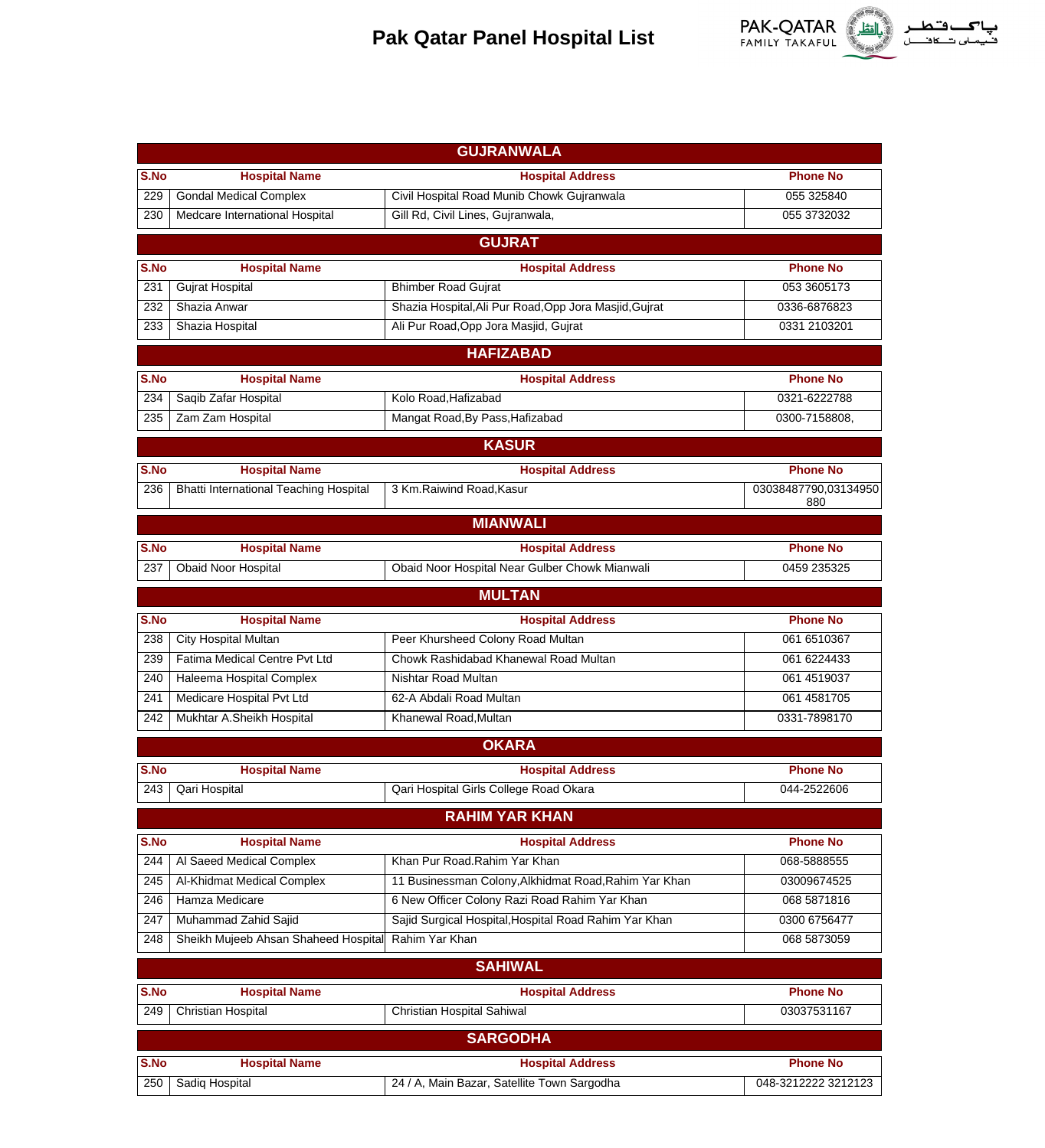

|      | <b>GUJRANWALA</b>                      |                                                        |                             |  |  |
|------|----------------------------------------|--------------------------------------------------------|-----------------------------|--|--|
| S.No | <b>Hospital Name</b>                   | <b>Hospital Address</b>                                | <b>Phone No</b>             |  |  |
| 229  | <b>Gondal Medical Complex</b>          | Civil Hospital Road Munib Chowk Gujranwala             | 055 325840                  |  |  |
| 230  | Medcare International Hospital         | Gill Rd, Civil Lines, Gujranwala,                      | 055 3732032                 |  |  |
|      |                                        | <b>GUJRAT</b>                                          |                             |  |  |
| S.No | <b>Hospital Name</b>                   | <b>Hospital Address</b>                                | <b>Phone No</b>             |  |  |
| 231  | <b>Gujrat Hospital</b>                 | <b>Bhimber Road Gujrat</b>                             | 053 3605173                 |  |  |
| 232  | Shazia Anwar                           | Shazia Hospital, Ali Pur Road, Opp Jora Masjid, Gujrat | 0336-6876823                |  |  |
| 233  | Shazia Hospital                        | Ali Pur Road, Opp Jora Masjid, Gujrat                  | 0331 2103201                |  |  |
|      |                                        | <b>HAFIZABAD</b>                                       |                             |  |  |
| S.No | <b>Hospital Name</b>                   | <b>Hospital Address</b>                                | <b>Phone No</b>             |  |  |
| 234  | Saqib Zafar Hospital                   | Kolo Road, Hafizabad                                   | 0321-6222788                |  |  |
| 235  | Zam Zam Hospital                       | Mangat Road, By Pass, Hafizabad                        | 0300-7158808,               |  |  |
|      |                                        |                                                        |                             |  |  |
|      |                                        | <b>KASUR</b>                                           |                             |  |  |
| S.No | <b>Hospital Name</b>                   | <b>Hospital Address</b>                                | <b>Phone No</b>             |  |  |
| 236  | Bhatti International Teaching Hospital | 3 Km.Raiwind Road, Kasur                               | 03038487790,03134950<br>880 |  |  |
|      |                                        | <b>MIANWALI</b>                                        |                             |  |  |
| S.No | <b>Hospital Name</b>                   | <b>Hospital Address</b>                                | <b>Phone No</b>             |  |  |
| 237  | <b>Obaid Noor Hospital</b>             | Obaid Noor Hospital Near Gulber Chowk Mianwali         | 0459 235325                 |  |  |
|      |                                        | <b>MULTAN</b>                                          |                             |  |  |
| S.No | <b>Hospital Name</b>                   | <b>Hospital Address</b>                                | <b>Phone No</b>             |  |  |
| 238  | <b>City Hospital Multan</b>            | Peer Khursheed Colony Road Multan                      | 061 6510367                 |  |  |
| 239  | Fatima Medical Centre Pvt Ltd          | Chowk Rashidabad Khanewal Road Multan                  | 061 6224433                 |  |  |
| 240  | Haleema Hospital Complex               | Nishtar Road Multan                                    | 061 451 9037                |  |  |
| 241  | Medicare Hospital Pvt Ltd              | 62-A Abdali Road Multan                                | 061 4581705                 |  |  |
| 242  | Mukhtar A.Sheikh Hospital              | Khanewal Road, Multan                                  | 0331-7898170                |  |  |
|      |                                        | <b>OKARA</b>                                           |                             |  |  |
|      |                                        |                                                        |                             |  |  |
| S.No | <b>Hospital Name</b>                   | <b>Hospital Address</b>                                | <b>Phone No</b>             |  |  |
| 243  | Qari Hospital                          | Qari Hospital Girls College Road Okara                 | 044-2522606                 |  |  |
|      |                                        | <b>RAHIM YAR KHAN</b>                                  |                             |  |  |
| S.No | <b>Hospital Name</b>                   | <b>Hospital Address</b>                                | <b>Phone No</b>             |  |  |
| 244  | Al Saeed Medical Complex               | Khan Pur Road.Rahim Yar Khan                           | 068-5888555                 |  |  |
| 245  | Al-Khidmat Medical Complex             | 11 Businessman Colony, Alkhidmat Road, Rahim Yar Khan  | 03009674525                 |  |  |
| 246  | Hamza Medicare                         | 6 New Officer Colony Razi Road Rahim Yar Khan          | 068 5871816                 |  |  |
| 247  | Muhammad Zahid Sajid                   | Sajid Surgical Hospital, Hospital Road Rahim Yar Khan  | 0300 6756477                |  |  |
| 248  | Sheikh Mujeeb Ahsan Shaheed Hospital   | Rahim Yar Khan                                         | 068 5873059                 |  |  |
|      |                                        | <b>SAHIWAL</b>                                         |                             |  |  |
| S.No | <b>Hospital Name</b>                   | <b>Hospital Address</b>                                | <b>Phone No</b>             |  |  |
| 249  | Christian Hospital                     | Christian Hospital Sahiwal                             | 03037531167                 |  |  |
|      |                                        | <b>SARGODHA</b>                                        |                             |  |  |
| S.No | <b>Hospital Name</b>                   | <b>Hospital Address</b>                                | <b>Phone No</b>             |  |  |
| 250  | Sadiq Hospital                         | 24 / A, Main Bazar, Satellite Town Sargodha            | 048-3212222 3212123         |  |  |
|      |                                        |                                                        |                             |  |  |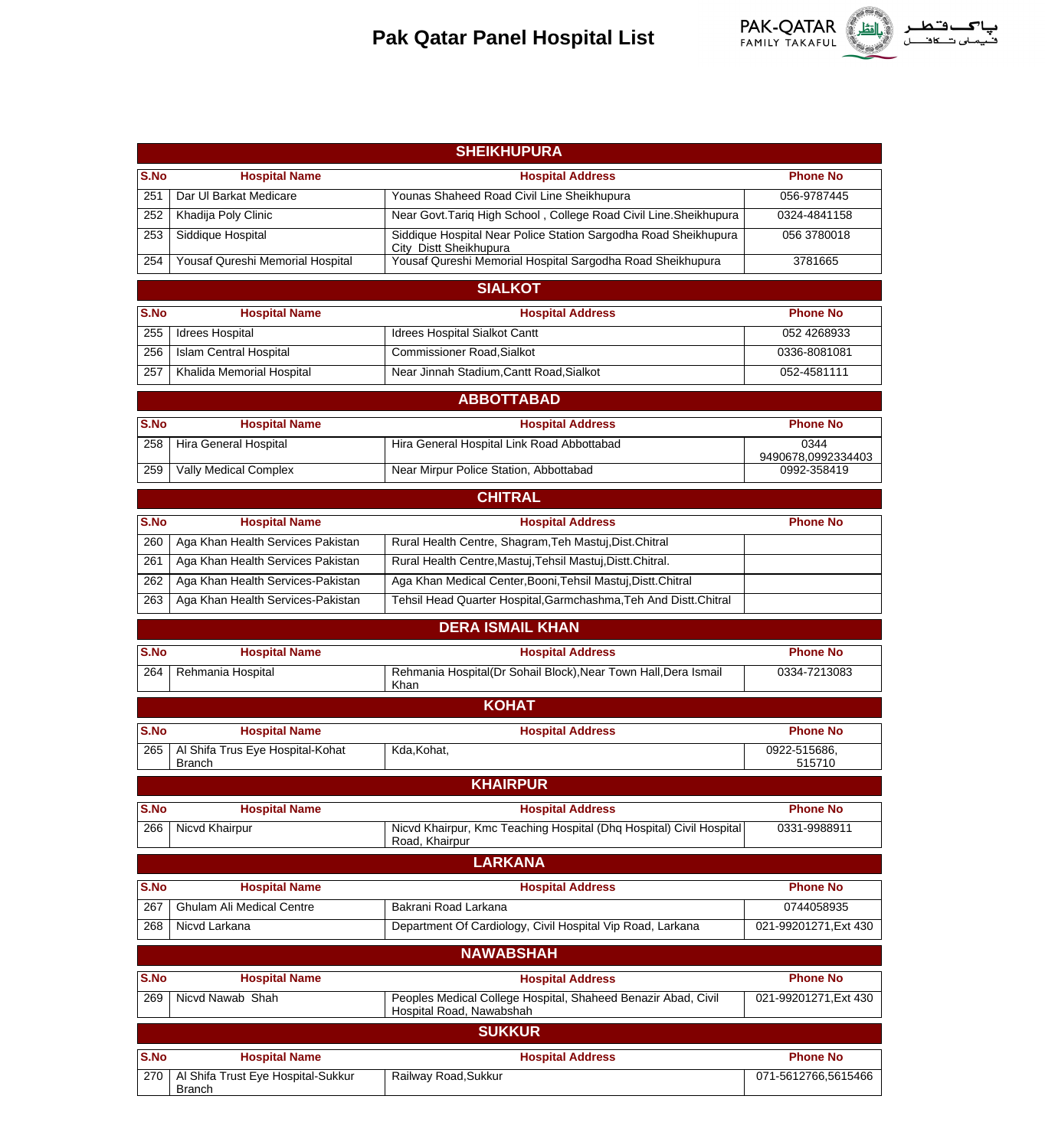

|             | <b>SHEIKHUPURA</b>                             |                                                                                           |                                |  |  |
|-------------|------------------------------------------------|-------------------------------------------------------------------------------------------|--------------------------------|--|--|
| S.No        | <b>Hospital Name</b>                           | <b>Hospital Address</b>                                                                   | <b>Phone No</b>                |  |  |
| 251         | Dar UI Barkat Medicare                         | Younas Shaheed Road Civil Line Sheikhupura                                                | 056-9787445                    |  |  |
| 252         | Khadija Poly Clinic                            | Near Govt. Tariq High School, College Road Civil Line. Sheikhupura                        | 0324-4841158                   |  |  |
| 253         | Siddique Hospital                              | Siddique Hospital Near Police Station Sargodha Road Sheikhupura                           | 056 3780018                    |  |  |
| 254         | Yousaf Qureshi Memorial Hospital               | City Distt Sheikhupura<br>Yousaf Qureshi Memorial Hospital Sargodha Road Sheikhupura      | 3781665                        |  |  |
|             |                                                | <b>SIALKOT</b>                                                                            |                                |  |  |
|             |                                                |                                                                                           |                                |  |  |
| S.No<br>255 | <b>Hospital Name</b><br><b>Idrees Hospital</b> | <b>Hospital Address</b><br><b>Idrees Hospital Sialkot Cantt</b>                           | <b>Phone No</b><br>052 4268933 |  |  |
| 256         | <b>Islam Central Hospital</b>                  | <b>Commissioner Road, Sialkot</b>                                                         | 0336-8081081                   |  |  |
| 257         | Khalida Memorial Hospital                      | Near Jinnah Stadium, Cantt Road, Sialkot                                                  | 052-4581111                    |  |  |
|             |                                                | <b>ABBOTTABAD</b>                                                                         |                                |  |  |
| S.No        |                                                |                                                                                           | <b>Phone No</b>                |  |  |
|             | <b>Hospital Name</b>                           | <b>Hospital Address</b>                                                                   | 0344                           |  |  |
| 258         | Hira General Hospital                          | Hira General Hospital Link Road Abbottabad                                                | 9490678,0992334403             |  |  |
| 259         | <b>Vally Medical Complex</b>                   | Near Mirpur Police Station, Abbottabad                                                    | 0992-358419                    |  |  |
|             |                                                | <b>CHITRAL</b>                                                                            |                                |  |  |
| S.No        | <b>Hospital Name</b>                           | <b>Hospital Address</b>                                                                   | <b>Phone No</b>                |  |  |
| 260         | Aga Khan Health Services Pakistan              | Rural Health Centre, Shagram, Teh Mastuj, Dist. Chitral                                   |                                |  |  |
| 261         | Aga Khan Health Services Pakistan              | Rural Health Centre, Mastuj, Tehsil Mastuj, Distt. Chitral.                               |                                |  |  |
| 262         | Aga Khan Health Services-Pakistan              | Aga Khan Medical Center, Booni, Tehsil Mastuj, Distt. Chitral                             |                                |  |  |
| 263         | Aga Khan Health Services-Pakistan              | Tehsil Head Quarter Hospital, Garmchashma, Teh And Distt. Chitral                         |                                |  |  |
|             |                                                | <b>DERA ISMAIL KHAN</b>                                                                   |                                |  |  |
|             |                                                |                                                                                           |                                |  |  |
| S.No        | <b>Hospital Name</b>                           | <b>Hospital Address</b>                                                                   | <b>Phone No</b>                |  |  |
| 264         | Rehmania Hospital                              | Rehmania Hospital(Dr Sohail Block), Near Town Hall, Dera Ismail<br>Khan                   | 0334-7213083                   |  |  |
|             |                                                | <b>KOHAT</b>                                                                              |                                |  |  |
| S.No        | <b>Hospital Name</b>                           | <b>Hospital Address</b>                                                                   | <b>Phone No</b>                |  |  |
| 265         | Al Shifa Trus Eye Hospital-Kohat               | Kda, Kohat,                                                                               | 0922-515686.                   |  |  |
|             | <b>Branch</b>                                  |                                                                                           |                                |  |  |
|             |                                                |                                                                                           | 515710                         |  |  |
|             |                                                | <b>KHAIRPUR</b>                                                                           |                                |  |  |
| S.No        | <b>Hospital Name</b>                           | <b>Hospital Address</b>                                                                   | <b>Phone No</b>                |  |  |
| 266         | Nicvd Khairpur                                 | Nicvd Khairpur, Kmc Teaching Hospital (Dhq Hospital) Civil Hospital<br>Road, Khairpur     | 0331-9988911                   |  |  |
|             |                                                | <b>LARKANA</b>                                                                            |                                |  |  |
| S.No        | <b>Hospital Name</b>                           | <b>Hospital Address</b>                                                                   | <b>Phone No</b>                |  |  |
| 267         | Ghulam Ali Medical Centre                      | Bakrani Road Larkana                                                                      | 0744058935                     |  |  |
| 268         | Nicvd Larkana                                  | Department Of Cardiology, Civil Hospital Vip Road, Larkana                                | 021-99201271, Ext 430          |  |  |
|             |                                                |                                                                                           |                                |  |  |
|             |                                                | <b>NAWABSHAH</b>                                                                          |                                |  |  |
| S.No        | <b>Hospital Name</b>                           | <b>Hospital Address</b>                                                                   | <b>Phone No</b>                |  |  |
| 269         | Nicvd Nawab Shah                               | Peoples Medical College Hospital, Shaheed Benazir Abad, Civil<br>Hospital Road, Nawabshah | 021-99201271, Ext 430          |  |  |
|             |                                                | <b>SUKKUR</b>                                                                             |                                |  |  |
| S.No        | <b>Hospital Name</b>                           | <b>Hospital Address</b>                                                                   | <b>Phone No</b>                |  |  |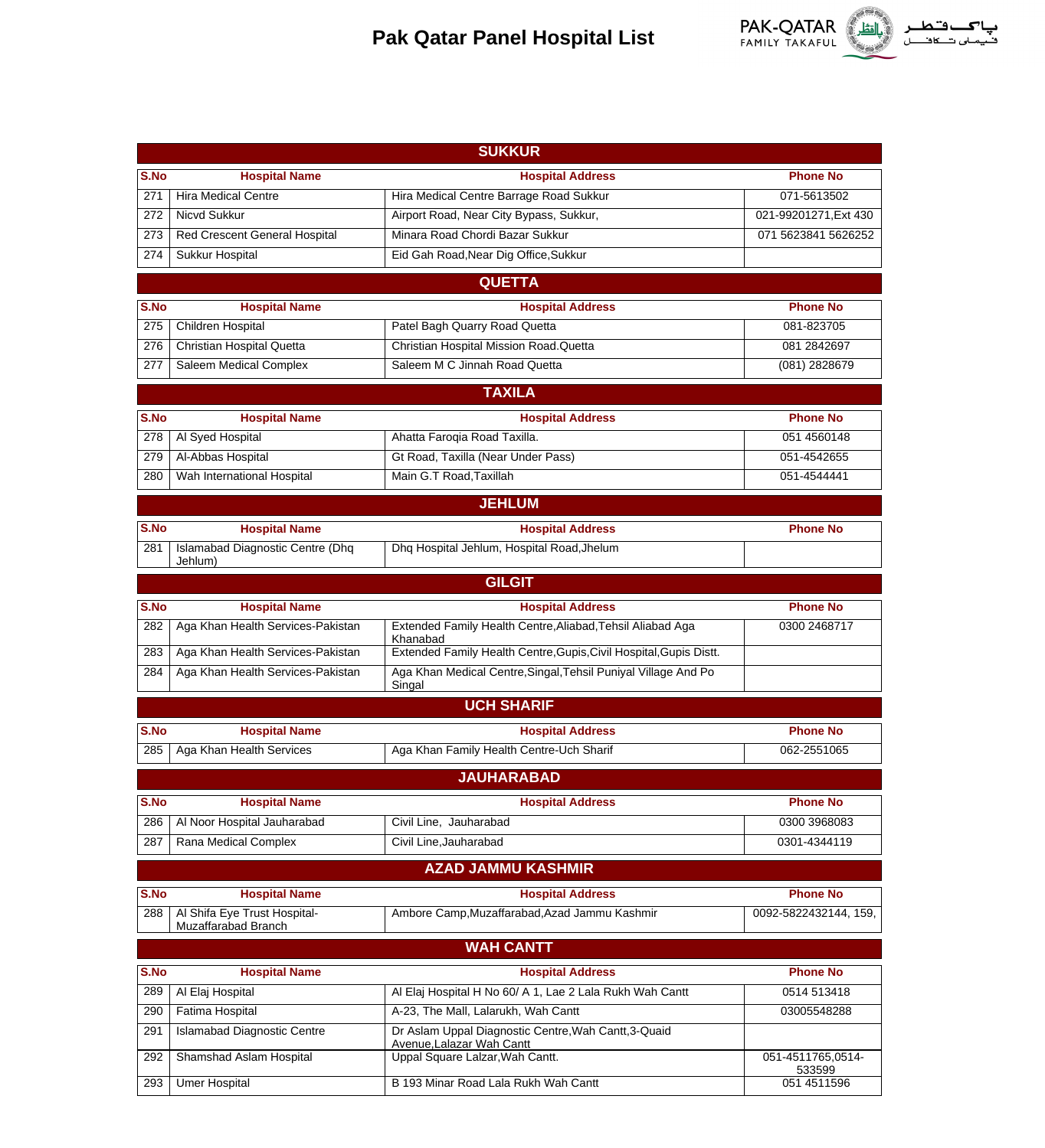

|      |                                                     | <b>SUKKUR</b>                                                                     |                             |
|------|-----------------------------------------------------|-----------------------------------------------------------------------------------|-----------------------------|
| S.No | <b>Hospital Name</b>                                | <b>Hospital Address</b>                                                           | <b>Phone No</b>             |
| 271  | <b>Hira Medical Centre</b>                          | Hira Medical Centre Barrage Road Sukkur                                           | 071-5613502                 |
| 272  | Nicvd Sukkur                                        | Airport Road, Near City Bypass, Sukkur,                                           | 021-99201271, Ext 430       |
| 273  | Red Crescent General Hospital                       | Minara Road Chordi Bazar Sukkur                                                   | 071 5623841 5626252         |
| 274  | Sukkur Hospital                                     | Eid Gah Road, Near Dig Office, Sukkur                                             |                             |
|      |                                                     | <b>QUETTA</b>                                                                     |                             |
| S.No | <b>Hospital Name</b>                                | <b>Hospital Address</b>                                                           | <b>Phone No</b>             |
| 275  | <b>Children Hospital</b>                            | Patel Bagh Quarry Road Quetta                                                     | 081-823705                  |
| 276  | <b>Christian Hospital Quetta</b>                    | Christian Hospital Mission Road.Quetta                                            | 081 284 2697                |
| 277  | <b>Saleem Medical Complex</b>                       | Saleem M C Jinnah Road Quetta                                                     | $(081)$ 2828679             |
|      |                                                     | <b>TAXILA</b>                                                                     |                             |
|      |                                                     |                                                                                   |                             |
| S.No | <b>Hospital Name</b>                                | <b>Hospital Address</b>                                                           | <b>Phone No</b>             |
| 278  | Al Syed Hospital                                    | Ahatta Faroqia Road Taxilla.                                                      | 051 4560148                 |
| 279  | Al-Abbas Hospital                                   | Gt Road, Taxilla (Near Under Pass)                                                | 051-4542655                 |
| 280  | Wah International Hospital                          | Main G.T Road, Taxillah                                                           | 051-4544441                 |
|      |                                                     | <b>JEHLUM</b>                                                                     |                             |
| S.No | <b>Hospital Name</b>                                | <b>Hospital Address</b>                                                           | <b>Phone No</b>             |
| 281  | <b>Islamabad Diagnostic Centre (Dhq</b><br>Jehlum)  | Dhq Hospital Jehlum, Hospital Road, Jhelum                                        |                             |
|      |                                                     | <b>GILGIT</b>                                                                     |                             |
| S.No | <b>Hospital Name</b>                                | <b>Hospital Address</b>                                                           | <b>Phone No</b>             |
| 282  | Aga Khan Health Services-Pakistan                   | Extended Family Health Centre, Aliabad, Tehsil Aliabad Aga<br>Khanabad            | 0300 2468717                |
| 283  | Aga Khan Health Services-Pakistan                   | Extended Family Health Centre, Gupis, Civil Hospital, Gupis Distt.                |                             |
| 284  | Aga Khan Health Services-Pakistan                   | Aga Khan Medical Centre, Singal, Tehsil Puniyal Village And Po<br>Singal          |                             |
|      |                                                     | <b>UCH SHARIF</b>                                                                 |                             |
| S.No | <b>Hospital Name</b>                                | <b>Hospital Address</b>                                                           | <b>Phone No</b>             |
| 285  | Aga Khan Health Services                            | Aga Khan Family Health Centre-Uch Sharif                                          | 062-2551065                 |
|      |                                                     | <b>JAUHARABAD</b>                                                                 |                             |
| S.No | <b>Hospital Name</b>                                | <b>Hospital Address</b>                                                           | <b>Phone No</b>             |
| 286  | Al Noor Hospital Jauharabad                         | Civil Line, Jauharabad                                                            | 0300 3968083                |
| 287  | Rana Medical Complex                                | Civil Line, Jauharabad                                                            | 0301-4344119                |
|      |                                                     | <b>AZAD JAMMU KASHMIR</b>                                                         |                             |
|      |                                                     |                                                                                   |                             |
| S.No | <b>Hospital Name</b>                                | <b>Hospital Address</b>                                                           | <b>Phone No</b>             |
| 288  | Al Shifa Eye Trust Hospital-<br>Muzaffarabad Branch | Ambore Camp, Muzaffarabad, Azad Jammu Kashmir                                     | 0092-5822432144, 159,       |
|      |                                                     | <b>WAH CANTT</b>                                                                  |                             |
| S.No | <b>Hospital Name</b>                                | <b>Hospital Address</b>                                                           | <b>Phone No</b>             |
| 289  | Al Elaj Hospital                                    | Al Elaj Hospital H No 60/ A 1, Lae 2 Lala Rukh Wah Cantt                          | 0514 513418                 |
| 290  | Fatima Hospital                                     | A-23, The Mall, Lalarukh, Wah Cantt                                               | 03005548288                 |
| 291  | <b>Islamabad Diagnostic Centre</b>                  | Dr Aslam Uppal Diagnostic Centre, Wah Cantt, 3-Quaid<br>Avenue, Lalazar Wah Cantt |                             |
| 292  | Shamshad Aslam Hospital                             | Uppal Square Lalzar, Wah Cantt.                                                   | 051-4511765,0514-<br>533599 |
| 293  | <b>Umer Hospital</b>                                | B 193 Minar Road Lala Rukh Wah Cantt                                              | 051 451 1596                |